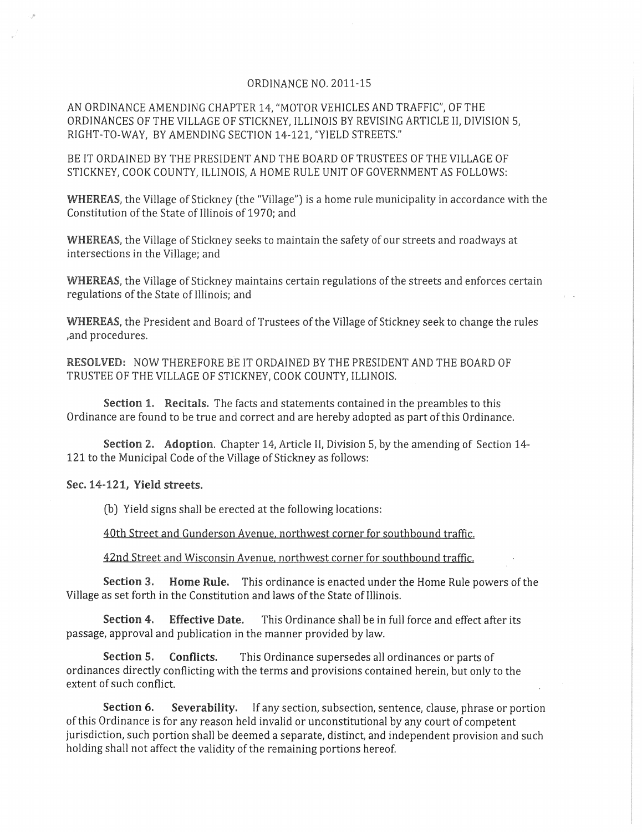## ORDINANCE NO. 2011-15

AN ORDINANCE AMENDING CHAPTER 14, "MOTOR VEHICLES AND TRAFFIC", OF THE ORDINANCES OF THE VILLAGE OF STICKNEY, ILLINOIS BY REVISING ARTICLE II, DIVISION 5, RIGHT-TO-WAY, BY AMENDING SECTION 14-121, "YIELD STREETS."

BE IT ORDAINED BY THE PRESIDENT AND THE BOARD OF TRUSTEES OF THE VILLAGE OF STICKNEY, COOK COUNTY, ILLINOIS, A HOME RULE UNIT OF GOVERNMENT AS FOLLOWS:

WHEREAS, the Village of Stickney (the "Village") is a home rule municipality in accordance with the Constitution of the. State of Illinois of 1970; and

WHEREAS, the Village of Stickney seeks to maintain the safety of our streets and roadways at intersections in the Village; and

WHEREAS, the Village of Stickney maintains certain regulations of the streets and enforces certain regulations of the State of Illinois; and

WHEREAS, the President and Board of Trustees of the Village of Stickney seek to change the rules ,and procedures.

RESOLVED: NOW THEREFORE BE IT ORDAINED BY THE PRESIDENT AND THE BOARD OF TRUSTEE OF THE VILLAGE OF STICKNEY, COOK COUNTY, ILLINOIS.

Section 1. Recitals. The facts and statements contained in the preambles to this Ordinance are found to be true and correct and are hereby adopted as part of this Ordinance.

Section 2. Adoption. Chapter 14, Article II, Division 5, by the amending of Section 14- 121 to the Municipal Code of the Village of Stickney as follows:

## Sec. 14-121, Yield streets.

(b) Yield signs shall be erected at the following locations:

40th Street and Gunderson Avenue. northwest corner for southbound traffic.

42nd Street and Wisconsin Avenue. northwest corner for southbound traffic.

Section 3. Home Rule. This ordinance is enacted under the Home Rule powers of the Village as set forth in the Constitution and laws of the State of Illinois.

Section 4. Effective Date. This Ordinance shall be in full force and effect after its passage, approval and publication in the manner provided by law.

Section 5. Conflicts. This Ordinance supersedes all ordinances or parts of ordinances directly conflicting with the terms and provisions contained herein, but only to the extent of such conflict.

Section 6. Severability. If any section, subsection, sentence, clause, phrase or portion of this Ordinance is for any reason held invalid or unconstitutional by any court of competent jurisdiction, such portion shall be deemed a separate, distinct, and independent provision and such holding shall not affect the validity of the remaining portions hereof.